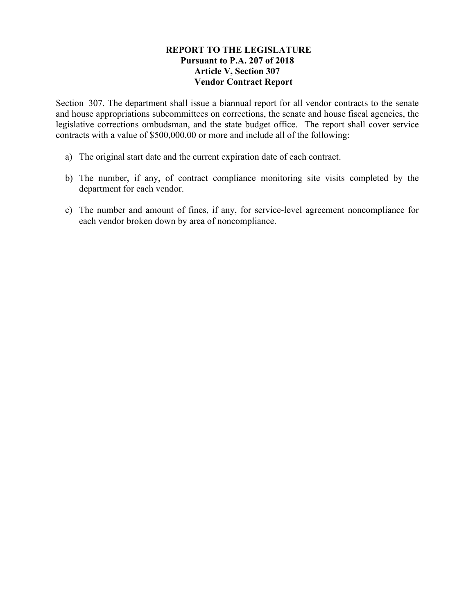## **REPORT TO THE LEGISLATURE Pursuant to P.A. 207 of 2018 Article V, Section 307 Vendor Contract Report**

Section 307. The department shall issue a biannual report for all vendor contracts to the senate and house appropriations subcommittees on corrections, the senate and house fiscal agencies, the legislative corrections ombudsman, and the state budget office. The report shall cover service contracts with a value of \$500,000.00 or more and include all of the following:

- a) The original start date and the current expiration date of each contract.
- b) The number, if any, of contract compliance monitoring site visits completed by the department for each vendor.
- c) The number and amount of fines, if any, for service-level agreement noncompliance for each vendor broken down by area of noncompliance.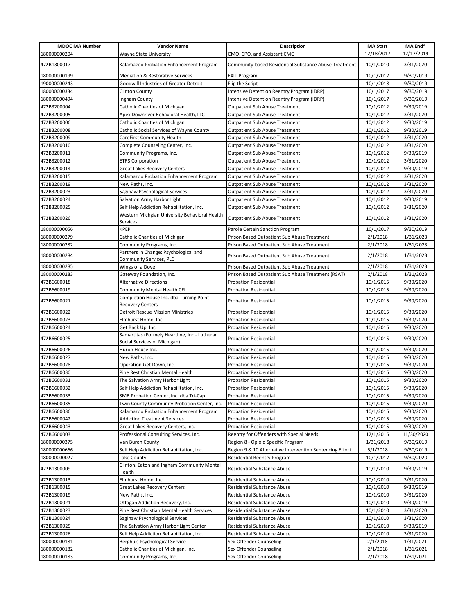| <b>MDOC MA Number</b> | <b>Vendor Name</b>                                                            | <b>Description</b>                                       | <b>MA Start</b> | MA End*    |
|-----------------------|-------------------------------------------------------------------------------|----------------------------------------------------------|-----------------|------------|
| 180000000204          | Wayne State University                                                        | CMO, CPO, and Assistant CMO                              | 12/18/2017      | 12/17/2019 |
| 472B1300017           | Kalamazoo Probation Enhancement Program                                       | Community-based Residential Substance Abuse Treatment    | 10/1/2010       | 3/31/2020  |
| 180000000199          | Mediation & Restorative Services                                              | <b>EXIT Program</b>                                      | 10/1/2017       | 9/30/2019  |
| 190000000243          | Goodwill Industries of Greater Detroit                                        | Flip the Script                                          | 10/1/2018       | 9/30/2019  |
| 180000000334          | <b>Clinton County</b>                                                         | Intensive Detention Reentry Program (IDRP)               | 10/1/2017       | 9/30/2019  |
| 180000000494          | Ingham County                                                                 | Intensive Detention Reentry Program (IDRP)               | 10/1/2017       | 9/30/2019  |
| 472B3200004           | Catholic Charities of Michigan                                                | <b>Outpatient Sub Abuse Treatment</b>                    | 10/1/2012       | 9/30/2019  |
| 472B3200005           | Apex Downriver Behavioral Health, LLC                                         | <b>Outpatient Sub Abuse Treatment</b>                    | 10/1/2012       | 3/31/2020  |
| 472B3200006           | Catholic Charities of Michigan                                                | <b>Outpatient Sub Abuse Treatment</b>                    | 10/1/2012       | 9/30/2019  |
| 472B3200008           | Catholic Social Services of Wayne County                                      | <b>Outpatient Sub Abuse Treatment</b>                    | 10/1/2012       | 9/30/2019  |
| 472B3200009           | CareFirst Community Health                                                    | <b>Outpatient Sub Abuse Treatment</b>                    | 10/1/2012       | 3/31/2020  |
| 472B3200010           | Complete Counseling Center, Inc.                                              | <b>Outpatient Sub Abuse Treatment</b>                    | 10/1/2012       | 3/31/2020  |
| 472B3200011           | Community Programs, Inc.                                                      | <b>Outpatient Sub Abuse Treatment</b>                    | 10/1/2012       | 9/30/2019  |
| 472B3200012           | <b>ETRS Corporation</b>                                                       | <b>Outpatient Sub Abuse Treatment</b>                    | 10/1/2012       | 3/31/2020  |
| 472B3200014           | <b>Great Lakes Recovery Centers</b>                                           | <b>Outpatient Sub Abuse Treatment</b>                    | 10/1/2012       | 9/30/2019  |
| 472B3200015           | Kalamazoo Probation Enhancement Program                                       | <b>Outpatient Sub Abuse Treatment</b>                    | 10/1/2012       | 3/31/2020  |
| 472B3200019           | New Paths, Inc.                                                               | <b>Outpatient Sub Abuse Treatment</b>                    | 10/1/2012       | 3/31/2020  |
| 472B3200023           | Saginaw Psychological Services                                                | <b>Outpatient Sub Abuse Treatment</b>                    | 10/1/2012       | 3/31/2020  |
| 472B3200024           | Salvation Army Harbor Light                                                   | <b>Outpatient Sub Abuse Treatment</b>                    | 10/1/2012       | 9/30/2019  |
| 472B3200025           | Self Help Addiction Rehabilitation, Inc.                                      | <b>Outpatient Sub Abuse Treatment</b>                    | 10/1/2012       | 3/31/2020  |
|                       | Western Michgian University Behavioral Health                                 |                                                          |                 |            |
| 472B3200026           | Services                                                                      | <b>Outpatient Sub Abuse Treatment</b>                    | 10/1/2012       | 3/31/2020  |
| 180000000056          | <b>KPEP</b>                                                                   | Parole Certain Sanction Program                          | 10/1/2017       | 9/30/2019  |
| 180000000279          | Catholic Charities of Michigan                                                | Prison Based Outpatient Sub Abuse Treatment              | 2/1/2018        | 1/31/2023  |
| 180000000282          | Community Programs, Inc.                                                      | Prison Based Outpatient Sub Abuse Treatment              | 2/1/2018        | 1/31/2023  |
| 180000000284          | Partners in Change: Psychological and<br>Community Services, PLC              | Prison Based Outpatient Sub Abuse Treatment              | 2/1/2018        | 1/31/2023  |
| 180000000285          | Wings of a Dove                                                               | Prison Based Outpatient Sub Abuse Treatment              | 2/1/2018        | 1/31/2023  |
| 180000000283          | Gateway Foundation, Inc.                                                      | Prison Based Outpatient Sub Abuse Treatment (RSAT)       | 2/1/2018        | 1/31/2023  |
| 472B6600018           | <b>Alternative Directions</b>                                                 | <b>Probation Residential</b>                             | 10/1/2015       | 9/30/2020  |
| 472B6600019           | Community Mental Health CEI                                                   | <b>Probation Residential</b>                             | 10/1/2015       | 9/30/2020  |
| 472B6600021           | Completion House Inc. dba Turning Point<br><b>Recovery Centers</b>            | <b>Probation Residential</b>                             | 10/1/2015       | 9/30/2020  |
| 472B6600022           | <b>Detroit Rescue Mission Ministries</b>                                      | <b>Probation Residential</b>                             | 10/1/2015       | 9/30/2020  |
| 472B6600023           | Elmhurst Home, Inc.                                                           | <b>Probation Residential</b>                             | 10/1/2015       | 9/30/2020  |
| 472B6600024           | Get Back Up, Inc.                                                             | <b>Probation Residential</b>                             | 10/1/2015       | 9/30/2020  |
| 472B6600025           | Samartitas (Formely Heartline, Inc - Lutheran<br>Social Services of Michigan) | <b>Probation Residential</b>                             | 10/1/2015       | 9/30/2020  |
| 472B6600026           | Huron House Inc.                                                              | <b>Probation Residential</b>                             | 10/1/2015       | 9/30/2020  |
| 472B6600027           | New Paths, Inc.                                                               | Probation Residential                                    | 10/1/2015       | 9/30/2020  |
| 472B6600028           | Operation Get Down, Inc.                                                      | <b>Probation Residential</b>                             | 10/1/2015       | 9/30/2020  |
| 472B6600030           | Pine Rest Christian Mental Health                                             | <b>Probation Residential</b>                             | 10/1/2015       | 9/30/2020  |
| 472B6600031           | The Salvation Army Harbor Light                                               | <b>Probation Residential</b>                             | 10/1/2015       | 9/30/2020  |
| 472B6600032           | Self Help Addiction Rehabilitation, Inc.                                      | <b>Probation Residential</b>                             | 10/1/2015       | 9/30/2020  |
| 472B6600033           | SMB Probation Center, Inc. dba Tri-Cap                                        | <b>Probation Residential</b>                             | 10/1/2015       | 9/30/2020  |
| 472B6600035           | Twin County Community Probation Center, Inc.                                  | <b>Probation Residential</b>                             | 10/1/2015       | 9/30/2020  |
| 472B6600036           | Kalamazoo Probation Enhancement Program                                       | Probation Residential                                    | 10/1/2015       | 9/30/2020  |
| 472B6600042           | <b>Addiction Treatment Services</b>                                           | <b>Probation Residential</b>                             | 10/1/2015       | 9/30/2020  |
| 472B6600043           | Great Lakes Recovery Centers, Inc.                                            | Probation Residential                                    | 10/1/2015       | 9/30/2020  |
| 472B6600003           | Professional Consulting Services, Inc.                                        | Reentry for Offenders with Special Needs                 | 12/1/2015       | 11/30/2020 |
| 180000000375          | Van Buren County                                                              | Region 8 - Opioid Specific Program                       | 1/31/2018       | 9/30/2019  |
| 180000000666          | Self Help Addiction Rehabilitation, Inc.                                      | Region 9 & 10 Alternative Intervention Sentencing Effort | 5/1/2018        | 9/30/2019  |
| 180000000027          | Lake County                                                                   | <b>Residential Reentry Program</b>                       | 10/1/2017       | 9/30/2020  |
| 472B1300009           | Clinton, Eaton and Ingham Community Mental                                    | Residential Substance Abuse                              |                 | 9/30/2019  |
|                       | Health                                                                        |                                                          | 10/1/2010       |            |
| 472B1300013           | Elmhurst Home, Inc.                                                           | <b>Residential Substance Abuse</b>                       | 10/1/2010       | 3/31/2020  |
| 472B1300015           | Great Lakes Recovery Centers                                                  | Residential Substance Abuse                              | 10/1/2010       | 9/30/2019  |
| 472B1300019           | New Paths, Inc.                                                               | Residential Substance Abuse                              | 10/1/2010       | 3/31/2020  |
| 472B1300021           | Ottagan Addiction Recovery, Inc.                                              | Residential Substance Abuse                              | 10/1/2010       | 9/30/2019  |
| 472B1300023           | Pine Rest Christian Mental Health Services                                    | Residential Substance Abuse                              | 10/1/2010       | 3/31/2020  |
| 472B1300024           | Saginaw Psychological Services                                                | Residential Substance Abuse                              | 10/1/2010       | 3/31/2020  |
| 472B1300025           | The Salvation Army Harbor Light Center                                        | Residential Substance Abuse                              | 10/1/2010       | 9/30/2019  |
| 472B1300026           | Self Help Addiction Rehabilitation, Inc.                                      | Residential Substance Abuse                              | 10/1/2010       | 3/31/2020  |
| 180000000181          | Berghuis Psychological Service                                                | Sex Offender Counseling                                  | 2/1/2018        | 1/31/2021  |
| 180000000182          | Catholic Charities of Michigan, Inc.                                          | Sex Offender Counseling                                  | 2/1/2018        | 1/31/2021  |
| 180000000183          | Community Programs, Inc.                                                      | Sex Offender Counseling                                  | 2/1/2018        | 1/31/2021  |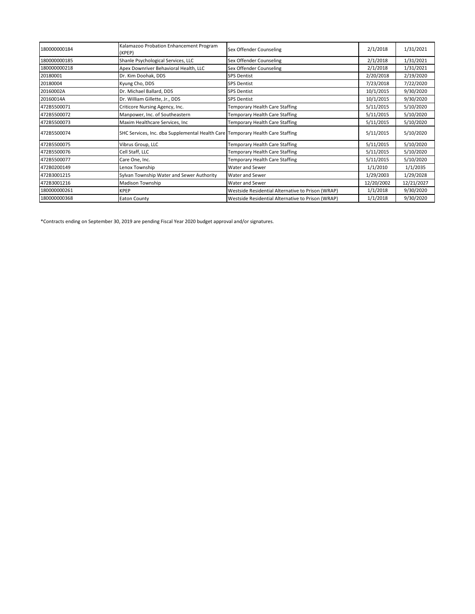| 180000000184 | Kalamazoo Probation Enhancement Program<br>(KPEP)                              | Sex Offender Counseling                           | 2/1/2018   | 1/31/2021  |
|--------------|--------------------------------------------------------------------------------|---------------------------------------------------|------------|------------|
| 180000000185 | Shanle Psychological Services, LLC                                             | Sex Offender Counseling                           | 2/1/2018   | 1/31/2021  |
| 180000000218 | Apex Downriver Behavioral Health, LLC                                          | Sex Offender Counseling                           | 2/1/2018   | 1/31/2021  |
| 20180001     | Dr. Kim Doohak, DDS                                                            | <b>SPS Dentist</b>                                | 2/20/2018  | 2/19/2020  |
| 20180004     | Kyung Cho, DDS                                                                 | <b>SPS Dentist</b>                                | 7/23/2018  | 7/22/2020  |
| 20160002A    | Dr. Michael Ballard, DDS                                                       | <b>SPS Dentist</b>                                | 10/1/2015  | 9/30/2020  |
| 20160014A    | Dr. William Gillette, Jr., DDS                                                 | <b>SPS Dentist</b>                                | 10/1/2015  | 9/30/2020  |
| 472B5500071  | Criticore Nursing Agency, Inc.                                                 | Temporary Health Care Staffing                    | 5/11/2015  | 5/10/2020  |
| 472B5500072  | Manpower, Inc. of Southeastern                                                 | Temporary Health Care Staffing                    | 5/11/2015  | 5/10/2020  |
| 472B5500073  | Maxim Healthcare Services, Inc                                                 | Temporary Health Care Staffing                    | 5/11/2015  | 5/10/2020  |
| 472B5500074  | SHC Services, Inc. dba Supplemental Health Care Temporary Health Care Staffing |                                                   | 5/11/2015  | 5/10/2020  |
| 472B5500075  | Vibrus Group, LLC                                                              | Temporary Health Care Staffing                    | 5/11/2015  | 5/10/2020  |
| 472B5500076  | Cell Staff, LLC                                                                | <b>Temporary Health Care Staffing</b>             | 5/11/2015  | 5/10/2020  |
| 472B5500077  | Care One, Inc.                                                                 | Temporary Health Care Staffing                    | 5/11/2015  | 5/10/2020  |
| 472B0200149  | Lenox Township                                                                 | <b>Water and Sewer</b>                            | 1/1/2010   | 1/1/2035   |
| 472B3001215  | Sylvan Township Water and Sewer Authority                                      | <b>Water and Sewer</b>                            | 1/29/2003  | 1/29/2028  |
| 472B3001216  | Madison Township                                                               | <b>Water and Sewer</b>                            | 12/20/2002 | 12/21/2027 |
| 180000000261 | <b>KPEP</b>                                                                    | Westside Residential Alternative to Prison (WRAP) | 1/1/2018   | 9/30/2020  |
| 180000000368 | <b>Eaton County</b>                                                            | Westside Residential Alternative to Prison (WRAP) | 1/1/2018   | 9/30/2020  |

\*Contracts ending on September 30, 2019 are pending Fiscal Year 2020 budget approval and/or signatures.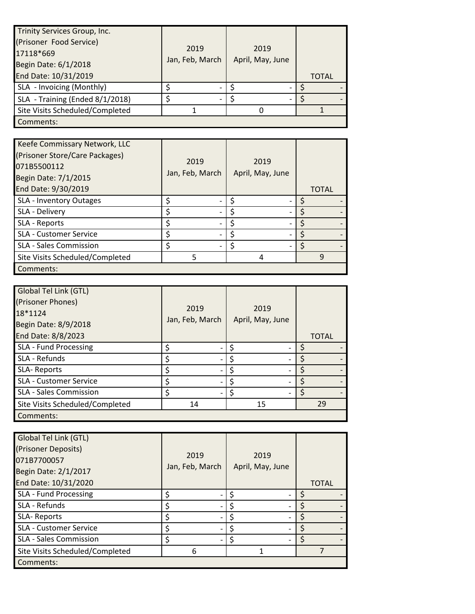| Trinity Services Group, Inc.    |                 |                  |              |
|---------------------------------|-----------------|------------------|--------------|
| (Prisoner Food Service)         |                 |                  |              |
| 17118*669                       | 2019            | 2019             |              |
| Begin Date: 6/1/2018            | Jan, Feb, March | April, May, June |              |
| End Date: 10/31/2019            |                 |                  | <b>TOTAL</b> |
| SLA - Invoicing (Monthly)       |                 |                  |              |
| SLA - Training (Ended 8/1/2018) |                 |                  |              |
| Site Visits Scheduled/Completed |                 |                  |              |
| Comments:                       |                 |                  |              |

| Keefe Commissary Network, LLC<br>(Prisoner Store/Care Packages)<br>071B5500112<br>Begin Date: 7/1/2015<br>End Date: 9/30/2019 | 2019<br>Jan, Feb, March | 2019<br>April, May, June | <b>TOTAL</b> |
|-------------------------------------------------------------------------------------------------------------------------------|-------------------------|--------------------------|--------------|
| SLA - Inventory Outages                                                                                                       | \$                      |                          |              |
| SLA - Delivery                                                                                                                |                         |                          |              |
| SLA - Reports                                                                                                                 |                         |                          |              |
| SLA - Customer Service                                                                                                        |                         |                          |              |
| <b>SLA - Sales Commission</b>                                                                                                 |                         |                          |              |
| Site Visits Scheduled/Completed                                                                                               | 5                       |                          |              |
| Comments:                                                                                                                     |                         |                          |              |

| Global Tel Link (GTL)<br>(Prisoner Phones)<br>18*1124<br>Begin Date: 8/9/2018 | 2019<br>Jan, Feb, March | 2019<br>April, May, June |              |
|-------------------------------------------------------------------------------|-------------------------|--------------------------|--------------|
| End Date: 8/8/2023                                                            |                         |                          | <b>TOTAL</b> |
| SLA - Fund Processing                                                         | \$                      |                          | Ś            |
| SLA - Refunds                                                                 | \$                      |                          |              |
| SLA-Reports                                                                   | \$                      |                          |              |
| <b>SLA - Customer Service</b>                                                 | \$                      |                          | S            |
| <b>SLA - Sales Commission</b>                                                 | \$                      |                          | ς            |
| Site Visits Scheduled/Completed                                               | 14                      | 15                       | 29           |
| Comments:                                                                     |                         |                          |              |

| Global Tel Link (GTL)           |                 |                  |              |
|---------------------------------|-----------------|------------------|--------------|
| (Prisoner Deposits)             | 2019            |                  |              |
| 071B7700057                     |                 | 2019             |              |
| Begin Date: 2/1/2017            | Jan, Feb, March | April, May, June |              |
| End Date: 10/31/2020            |                 |                  | <b>TOTAL</b> |
| <b>SLA - Fund Processing</b>    | Ś               |                  |              |
| SLA - Refunds                   | \$              |                  |              |
| SLA-Reports                     | \$              |                  |              |
| <b>SLA - Customer Service</b>   | \$              |                  |              |
| SLA - Sales Commission          | \$              |                  |              |
| Site Visits Scheduled/Completed | 6               |                  |              |
| Comments:                       |                 |                  |              |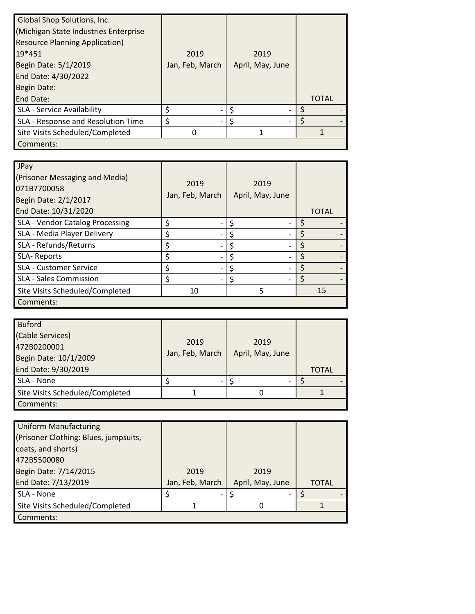| <b>Global Shop Solutions, Inc.</b><br>(Michigan State Industries Enterprise<br><b>Resource Planning Application)</b><br>19*451<br>Begin Date: 5/1/2019<br>End Date: 4/30/2022<br><b>Begin Date:</b> | 2019<br>Jan, Feb, March | 2019<br>April, May, June |              |
|-----------------------------------------------------------------------------------------------------------------------------------------------------------------------------------------------------|-------------------------|--------------------------|--------------|
| <b>End Date:</b>                                                                                                                                                                                    |                         |                          | <b>TOTAL</b> |
| <b>SLA - Service Availability</b>                                                                                                                                                                   | \$                      |                          |              |
| SLA - Response and Resolution Time                                                                                                                                                                  | \$                      |                          |              |
| Site Visits Scheduled/Completed                                                                                                                                                                     |                         |                          |              |
| Comments:                                                                                                                                                                                           |                         |                          |              |

| JPay<br>(Prisoner Messaging and Media)<br>071B7700058<br>Begin Date: 2/1/2017<br>End Date: 10/31/2020 | 2019<br>Jan, Feb, March | 2019<br>April, May, June | <b>TOTAL</b> |
|-------------------------------------------------------------------------------------------------------|-------------------------|--------------------------|--------------|
| SLA - Vendor Catalog Processing                                                                       | \$                      |                          |              |
| SLA - Media Player Delivery                                                                           | \$                      |                          |              |
| SLA - Refunds/Returns                                                                                 | \$                      |                          |              |
| SLA-Reports                                                                                           | \$                      |                          |              |
| <b>SLA - Customer Service</b>                                                                         | \$                      |                          |              |
| <b>SLA - Sales Commission</b>                                                                         | \$                      |                          |              |
| Site Visits Scheduled/Completed                                                                       | 10                      | 5                        | 15           |
| Comments:                                                                                             |                         |                          |              |

| <b>Buford</b>                   |                 |                  |              |
|---------------------------------|-----------------|------------------|--------------|
| (Cable Services)                | 2019            | 2019             |              |
| 472B0200001                     | Jan, Feb, March |                  |              |
| Begin Date: 10/1/2009           |                 | April, May, June |              |
| End Date: 9/30/2019             |                 |                  | <b>TOTAL</b> |
| SLA - None                      |                 |                  |              |
| Site Visits Scheduled/Completed |                 |                  |              |
| Comments:                       |                 |                  |              |

| <b>Uniform Manufacturing</b>          |                 |                  |              |
|---------------------------------------|-----------------|------------------|--------------|
| (Prisoner Clothing: Blues, jumpsuits, |                 |                  |              |
| coats, and shorts)                    |                 |                  |              |
| 472B5500080                           |                 |                  |              |
| Begin Date: 7/14/2015                 | 2019            | 2019             |              |
| End Date: 7/13/2019                   | Jan, Feb, March | April, May, June | <b>TOTAL</b> |
| SLA - None                            |                 |                  |              |
| Site Visits Scheduled/Completed       |                 |                  |              |
| Comments:                             |                 |                  |              |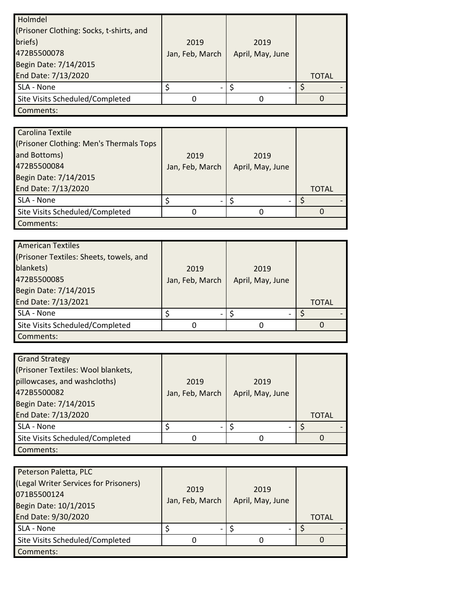| Holmdel                                  |                 |                  |              |
|------------------------------------------|-----------------|------------------|--------------|
| (Prisoner Clothing: Socks, t-shirts, and |                 |                  |              |
| briefs)                                  | 2019            | 2019             |              |
| 472B5500078                              | Jan, Feb, March | April, May, June |              |
| Begin Date: 7/14/2015                    |                 |                  |              |
| End Date: 7/13/2020                      |                 |                  | <b>TOTAL</b> |
| SLA - None                               |                 |                  |              |
| Site Visits Scheduled/Completed          |                 |                  |              |
| Comments:                                |                 |                  |              |

| Carolina Textile                        |                 |                  |              |
|-----------------------------------------|-----------------|------------------|--------------|
| (Prisoner Clothing: Men's Thermals Tops |                 |                  |              |
| and Bottoms)                            | 2019            | 2019             |              |
| 472B5500084                             | Jan, Feb, March | April, May, June |              |
| Begin Date: 7/14/2015                   |                 |                  |              |
| End Date: 7/13/2020                     |                 |                  | <b>TOTAL</b> |
| SLA - None                              | \$              |                  |              |
| Site Visits Scheduled/Completed         |                 |                  |              |
| Comments:                               |                 |                  |              |

| <b>American Textiles</b>                |                 |                  |              |
|-----------------------------------------|-----------------|------------------|--------------|
| (Prisoner Textiles: Sheets, towels, and |                 |                  |              |
| blankets)                               | 2019            | 2019             |              |
| 472B5500085                             | Jan, Feb, March | April, May, June |              |
| Begin Date: 7/14/2015                   |                 |                  |              |
| End Date: 7/13/2021                     |                 |                  | <b>TOTAL</b> |
| SLA - None                              |                 |                  |              |
| Site Visits Scheduled/Completed         |                 |                  |              |
| Comments:                               |                 |                  |              |

| <b>Grand Strategy</b>              |                 |                  |              |
|------------------------------------|-----------------|------------------|--------------|
| (Prisoner Textiles: Wool blankets, |                 |                  |              |
| pillowcases, and washcloths)       | 2019            | 2019             |              |
| 472B5500082                        | Jan, Feb, March | April, May, June |              |
| Begin Date: 7/14/2015              |                 |                  |              |
| End Date: 7/13/2020                |                 |                  | <b>TOTAL</b> |
| SLA - None                         |                 |                  |              |
| Site Visits Scheduled/Completed    |                 |                  |              |
| Comments:                          |                 |                  |              |

| Peterson Paletta, PLC                 |                 |                  |              |
|---------------------------------------|-----------------|------------------|--------------|
| (Legal Writer Services for Prisoners) | 2019            | 2019             |              |
| 071B5500124                           |                 |                  |              |
| Begin Date: 10/1/2015                 | Jan, Feb, March | April, May, June |              |
| End Date: 9/30/2020                   |                 |                  | <b>TOTAL</b> |
| SLA - None                            |                 |                  |              |
| Site Visits Scheduled/Completed       |                 |                  |              |
| Comments:                             |                 |                  |              |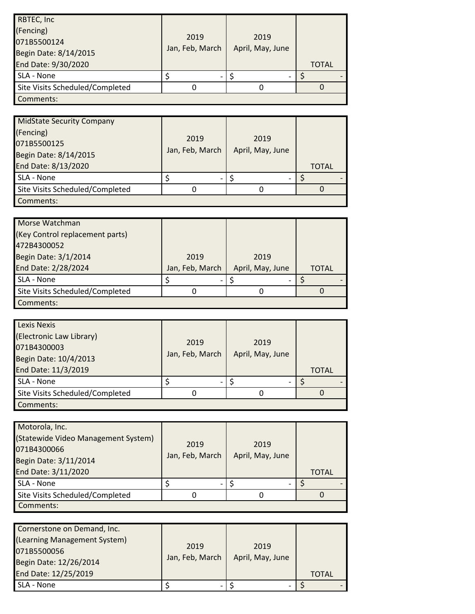| RBTEC, Inc.<br>(Fencing)<br>071B5500124<br>Begin Date: 8/14/2015 | 2019<br>Jan, Feb, March | 2019<br>April, May, June |              |
|------------------------------------------------------------------|-------------------------|--------------------------|--------------|
| End Date: 9/30/2020                                              |                         |                          | <b>TOTAL</b> |
| SLA - None                                                       |                         |                          |              |
| Site Visits Scheduled/Completed                                  |                         |                          |              |
| Comments:                                                        |                         |                          |              |

| <b>MidState Security Company</b><br>(Fencing)<br>071B5500125<br>Begin Date: 8/14/2015<br>End Date: 8/13/2020 | 2019<br>Jan, Feb, March  | 2019<br>April, May, June | <b>TOTAL</b> |
|--------------------------------------------------------------------------------------------------------------|--------------------------|--------------------------|--------------|
| SLA - None                                                                                                   | $\overline{\phantom{0}}$ |                          |              |
| Site Visits Scheduled/Completed                                                                              | 0                        |                          |              |
| Comments:                                                                                                    |                          |                          |              |

| Morse Watchman                  |                 |                  |       |
|---------------------------------|-----------------|------------------|-------|
| (Key Control replacement parts) |                 |                  |       |
| 472B4300052                     |                 |                  |       |
| Begin Date: 3/1/2014            | 2019            | 2019             |       |
| End Date: 2/28/2024             | Jan, Feb, March | April, May, June | TOTAL |
| SLA - None                      |                 |                  |       |
| Site Visits Scheduled/Completed |                 |                  |       |
| Comments:                       |                 |                  |       |

| <b>Lexis Nexis</b>              |                 |                  |              |
|---------------------------------|-----------------|------------------|--------------|
| (Electronic Law Library)        | 2019            | 2019             |              |
| 071B4300003                     |                 |                  |              |
| Begin Date: 10/4/2013           | Jan, Feb, March | April, May, June |              |
| End Date: 11/3/2019             |                 |                  | <b>TOTAL</b> |
| SLA - None                      |                 |                  |              |
| Site Visits Scheduled/Completed |                 |                  |              |
| Comments:                       |                 |                  |              |

| Motorola, Inc.<br>(Statewide Video Management System)<br>071B4300066<br>Begin Date: 3/11/2014<br>End Date: 3/11/2020 | 2019<br>Jan, Feb, March | 2019<br>April, May, June | <b>TOTAL</b> |
|----------------------------------------------------------------------------------------------------------------------|-------------------------|--------------------------|--------------|
| SLA - None                                                                                                           |                         |                          |              |
| Site Visits Scheduled/Completed                                                                                      |                         |                          |              |
| Comments:                                                                                                            |                         |                          |              |

| Cornerstone on Demand, Inc.  |                          |                  |       |  |
|------------------------------|--------------------------|------------------|-------|--|
| (Learning Management System) |                          |                  |       |  |
| 071B5500056                  | 2019                     | 2019             |       |  |
| Begin Date: 12/26/2014       | Jan, Feb, March          | April, May, June |       |  |
| End Date: 12/25/2019         |                          |                  | TOTAL |  |
| SLA - None                   | $\overline{\phantom{0}}$ |                  |       |  |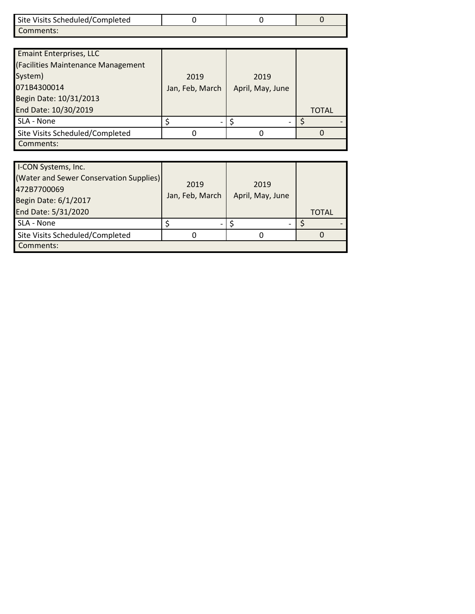| Site Visits Scheduled/Completed |  |  |
|---------------------------------|--|--|
| Comments:                       |  |  |

| <b>Emaint Enterprises, LLC</b><br>(Facilities Maintenance Management |                 |                  |       |
|----------------------------------------------------------------------|-----------------|------------------|-------|
| System)                                                              | 2019            | 2019             |       |
| 071B4300014                                                          | Jan, Feb, March | April, May, June |       |
| Begin Date: 10/31/2013                                               |                 |                  |       |
| End Date: 10/30/2019                                                 |                 |                  | TOTAL |
| SLA - None                                                           |                 |                  |       |
| Site Visits Scheduled/Completed                                      |                 |                  |       |
| Comments:                                                            |                 |                  |       |

| I-CON Systems, Inc.<br>(Water and Sewer Conservation Supplies)<br>472B7700069<br>Begin Date: 6/1/2017 | 2019<br>Jan, Feb, March | 2019<br>April, May, June |              |
|-------------------------------------------------------------------------------------------------------|-------------------------|--------------------------|--------------|
| End Date: 5/31/2020                                                                                   |                         |                          | <b>TOTAL</b> |
| SLA - None                                                                                            |                         |                          |              |
| Site Visits Scheduled/Completed                                                                       |                         |                          |              |
| Comments:                                                                                             |                         |                          |              |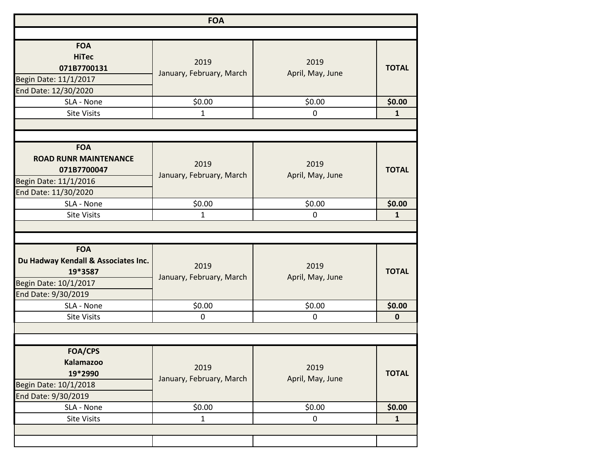| <b>FOA</b>                          |                          |                  |              |
|-------------------------------------|--------------------------|------------------|--------------|
|                                     |                          |                  |              |
| <b>FOA</b>                          |                          |                  |              |
| <b>HiTec</b>                        | 2019                     | 2019             |              |
| 071B7700131                         | January, February, March | April, May, June | <b>TOTAL</b> |
| Begin Date: 11/1/2017               |                          |                  |              |
| End Date: 12/30/2020                |                          |                  |              |
| SLA - None                          | \$0.00                   | \$0.00           | \$0.00       |
| <b>Site Visits</b>                  | 1                        | 0                | $\mathbf{1}$ |
|                                     |                          |                  |              |
| <b>FOA</b>                          |                          |                  |              |
| <b>ROAD RUNR MAINTENANCE</b>        | 2019                     | 2019             |              |
| 071B7700047                         |                          | April, May, June | <b>TOTAL</b> |
| Begin Date: 11/1/2016               | January, February, March |                  |              |
| End Date: 11/30/2020                |                          |                  |              |
| SLA - None                          | \$0.00                   | \$0.00           | \$0.00       |
| <b>Site Visits</b>                  | 1                        | $\mathbf 0$      | $\mathbf{1}$ |
|                                     |                          |                  |              |
|                                     |                          |                  |              |
| <b>FOA</b>                          |                          |                  |              |
| Du Hadway Kendall & Associates Inc. | 2019                     | 2019             |              |
| 19*3587                             |                          |                  | <b>TOTAL</b> |
| Begin Date: 10/1/2017               | January, February, March | April, May, June |              |
| End Date: 9/30/2019                 |                          |                  |              |
| SLA - None                          | \$0.00                   | \$0.00           | \$0.00       |
| <b>Site Visits</b>                  | 0                        | $\mathbf 0$      | $\mathbf 0$  |
|                                     |                          |                  |              |
|                                     |                          |                  |              |
| <b>FOA/CPS</b>                      |                          |                  |              |
| <b>Kalamazoo</b>                    | 2019                     | 2019             |              |
| 19*2990                             | January, February, March | April, May, June | <b>TOTAL</b> |
| Begin Date: 10/1/2018               |                          |                  |              |
| End Date: 9/30/2019                 |                          |                  |              |
| SLA - None                          | \$0.00                   | \$0.00           | \$0.00       |
| <b>Site Visits</b>                  | $\mathbf{1}$             | $\mathbf 0$      | $\mathbf{1}$ |
|                                     |                          |                  |              |
|                                     |                          |                  |              |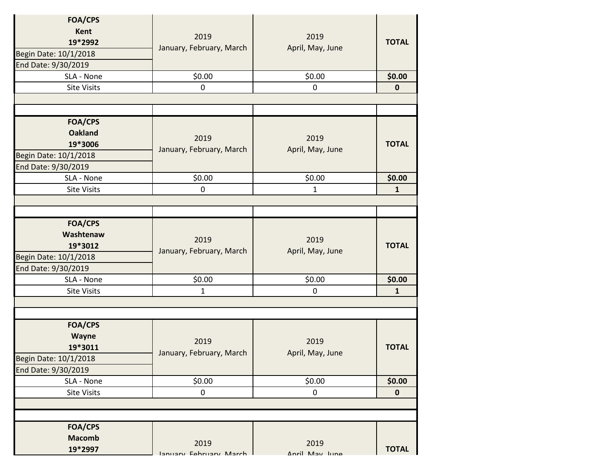| <b>FOA/CPS</b><br><b>Kent</b><br>19*2992<br>Begin Date: 10/1/2018<br>End Date: 9/30/2019    | 2019<br>January, February, March | 2019<br>April, May, June | <b>TOTAL</b> |
|---------------------------------------------------------------------------------------------|----------------------------------|--------------------------|--------------|
| SLA - None                                                                                  | \$0.00                           | \$0.00                   | \$0.00       |
| <b>Site Visits</b>                                                                          | $\pmb{0}$                        | $\mathbf 0$              | $\mathbf 0$  |
|                                                                                             |                                  |                          |              |
|                                                                                             |                                  |                          |              |
| <b>FOA/CPS</b><br><b>Oakland</b><br>19*3006<br>Begin Date: 10/1/2018<br>End Date: 9/30/2019 | 2019<br>January, February, March | 2019<br>April, May, June | <b>TOTAL</b> |
| SLA - None                                                                                  | \$0.00                           | \$0.00                   | \$0.00       |
| <b>Site Visits</b>                                                                          | 0                                | 1                        | 1            |
|                                                                                             |                                  |                          |              |
|                                                                                             |                                  |                          |              |
| FOA/CPS<br>Washtenaw<br>19*3012<br>Begin Date: 10/1/2018<br>End Date: 9/30/2019             | 2019<br>January, February, March | 2019<br>April, May, June | <b>TOTAL</b> |
| SLA - None                                                                                  | \$0.00                           | \$0.00                   | \$0.00       |
| <b>Site Visits</b>                                                                          | $\mathbf{1}$                     | 0                        | $\mathbf{1}$ |
|                                                                                             |                                  |                          |              |
|                                                                                             |                                  |                          |              |
| <b>FOA/CPS</b><br>Wayne<br>19*3011<br>Begin Date: 10/1/2018<br>End Date: 9/30/2019          | 2019<br>January, February, March | 2019<br>April, May, June | <b>TOTAL</b> |
| SLA - None                                                                                  | \$0.00                           | \$0.00                   | \$0.00       |
| <b>Site Visits</b>                                                                          | 0                                | 0                        | $\mathbf 0$  |
|                                                                                             |                                  |                          |              |
|                                                                                             |                                  |                          |              |
| <b>FOA/CPS</b><br><b>Macomb</b><br>19*2997                                                  | 2019<br>January Fahruary March   | 2019<br>Anril May June   | <b>TOTAL</b> |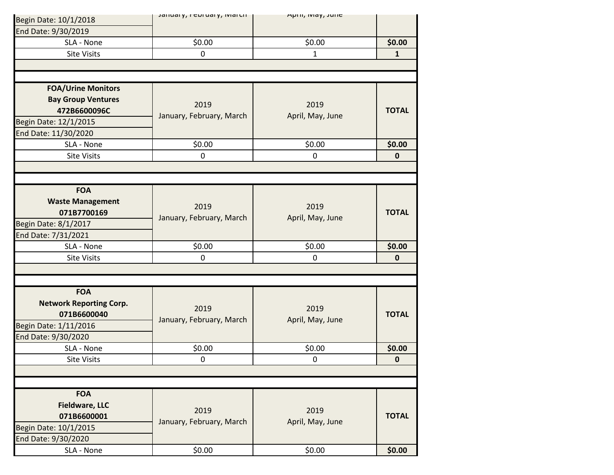| Begin Date: 10/1/2018          | January, I Curuary, Iviarun | Aprii, iviay, Julie |              |
|--------------------------------|-----------------------------|---------------------|--------------|
| End Date: 9/30/2019            |                             |                     |              |
| SLA - None                     | \$0.00                      | \$0.00              | \$0.00       |
| <b>Site Visits</b>             | 0                           | 1                   | $\mathbf{1}$ |
|                                |                             |                     |              |
|                                |                             |                     |              |
| <b>FOA/Urine Monitors</b>      |                             |                     |              |
| <b>Bay Group Ventures</b>      |                             |                     |              |
| 472B6600096C                   | 2019                        | 2019                | <b>TOTAL</b> |
| Begin Date: 12/1/2015          | January, February, March    | April, May, June    |              |
| End Date: 11/30/2020           |                             |                     |              |
| SLA - None                     | \$0.00                      | \$0.00              | \$0.00       |
| <b>Site Visits</b>             | $\mathbf 0$                 | $\mathbf 0$         | $\mathbf 0$  |
|                                |                             |                     |              |
|                                |                             |                     |              |
| <b>FOA</b>                     |                             |                     |              |
| <b>Waste Management</b>        |                             |                     |              |
| 071B7700169                    | 2019                        | 2019                | <b>TOTAL</b> |
| Begin Date: 8/1/2017           | January, February, March    | April, May, June    |              |
|                                |                             |                     |              |
| End Date: 7/31/2021            |                             |                     |              |
| SLA - None                     | \$0.00                      | \$0.00              | \$0.00       |
| <b>Site Visits</b>             | $\pmb{0}$                   | $\mathbf 0$         | $\mathbf 0$  |
|                                |                             |                     |              |
|                                |                             |                     |              |
| <b>FOA</b>                     |                             |                     |              |
| <b>Network Reporting Corp.</b> | 2019                        | 2019                |              |
| 071B6600040                    | January, February, March    | April, May, June    | <b>TOTAL</b> |
| Begin Date: 1/11/2016          |                             |                     |              |
| End Date: 9/30/2020            |                             |                     |              |
| SLA - None                     | \$0.00                      | \$0.00              | \$0.00       |
| Site Visits                    | 0                           | 0                   | $\pmb{0}$    |
|                                |                             |                     |              |
|                                |                             |                     |              |
| <b>FOA</b>                     |                             |                     |              |
| <b>Fieldware, LLC</b>          |                             |                     |              |
| 071B6600001                    | 2019                        | 2019                | <b>TOTAL</b> |
| Begin Date: 10/1/2015          | January, February, March    | April, May, June    |              |
| End Date: 9/30/2020            |                             |                     |              |
| SLA - None                     | \$0.00                      | \$0.00              | \$0.00       |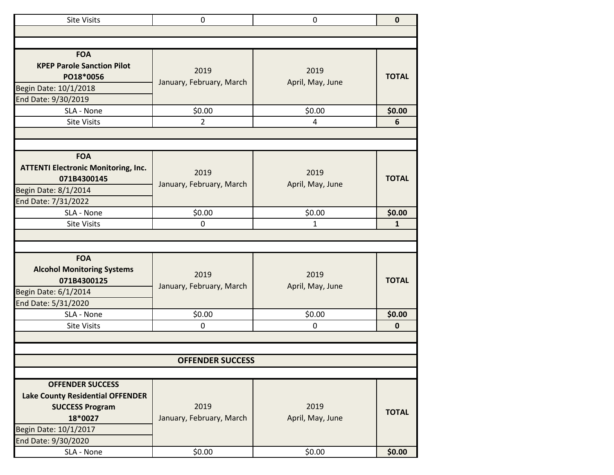| <b>Site Visits</b>                                                                                                                                      | 0                                | $\mathbf 0$              | $\mathbf 0$  |
|---------------------------------------------------------------------------------------------------------------------------------------------------------|----------------------------------|--------------------------|--------------|
|                                                                                                                                                         |                                  |                          |              |
|                                                                                                                                                         |                                  |                          |              |
| <b>FOA</b><br><b>KPEP Parole Sanction Pilot</b><br>PO18*0056<br>Begin Date: 10/1/2018<br>End Date: 9/30/2019                                            | 2019<br>January, February, March | 2019<br>April, May, June | <b>TOTAL</b> |
| SLA - None                                                                                                                                              | \$0.00                           | \$0.00                   | \$0.00       |
| <b>Site Visits</b>                                                                                                                                      | $\overline{2}$                   | 4                        | 6            |
|                                                                                                                                                         |                                  |                          |              |
|                                                                                                                                                         |                                  |                          |              |
| <b>FOA</b>                                                                                                                                              |                                  |                          |              |
| <b>ATTENTI Electronic Monitoring, Inc.</b><br>071B4300145<br>Begin Date: 8/1/2014<br>End Date: 7/31/2022                                                | 2019<br>January, February, March | 2019<br>April, May, June | <b>TOTAL</b> |
| SLA - None                                                                                                                                              | \$0.00                           | \$0.00                   | \$0.00       |
| <b>Site Visits</b>                                                                                                                                      | 0                                | $\mathbf{1}$             | $\mathbf{1}$ |
|                                                                                                                                                         |                                  |                          |              |
|                                                                                                                                                         |                                  |                          |              |
| <b>FOA</b><br><b>Alcohol Monitoring Systems</b><br>071B4300125<br>Begin Date: 6/1/2014<br>End Date: 5/31/2020                                           | 2019<br>January, February, March | 2019<br>April, May, June | <b>TOTAL</b> |
| SLA - None                                                                                                                                              | \$0.00                           | \$0.00                   | \$0.00       |
| <b>Site Visits</b>                                                                                                                                      | 0                                | 0                        | $\pmb{0}$    |
|                                                                                                                                                         |                                  |                          |              |
|                                                                                                                                                         |                                  |                          |              |
|                                                                                                                                                         | <b>OFFENDER SUCCESS</b>          |                          |              |
|                                                                                                                                                         |                                  |                          |              |
| <b>OFFENDER SUCCESS</b><br><b>Lake County Residential OFFENDER</b><br><b>SUCCESS Program</b><br>18*0027<br>Begin Date: 10/1/2017<br>End Date: 9/30/2020 | 2019<br>January, February, March | 2019<br>April, May, June | <b>TOTAL</b> |
| SLA - None                                                                                                                                              | \$0.00                           | \$0.00                   | \$0.00       |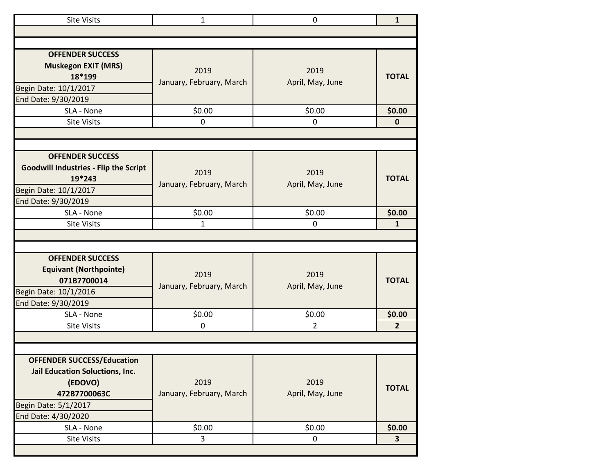| <b>Site Visits</b>                                                                                                                             | $\mathbf{1}$                     | $\mathbf 0$              | $\mathbf{1}$            |
|------------------------------------------------------------------------------------------------------------------------------------------------|----------------------------------|--------------------------|-------------------------|
|                                                                                                                                                |                                  |                          |                         |
|                                                                                                                                                |                                  |                          |                         |
| <b>OFFENDER SUCCESS</b><br><b>Muskegon EXIT (MRS)</b><br>18*199<br>Begin Date: 10/1/2017<br>End Date: 9/30/2019                                | 2019<br>January, February, March | 2019<br>April, May, June | <b>TOTAL</b>            |
| SLA - None                                                                                                                                     | \$0.00                           | \$0.00                   | \$0.00                  |
| <b>Site Visits</b>                                                                                                                             | 0                                | $\mathbf 0$              | $\mathbf 0$             |
|                                                                                                                                                |                                  |                          |                         |
|                                                                                                                                                |                                  |                          |                         |
| <b>OFFENDER SUCCESS</b><br><b>Goodwill Industries - Flip the Script</b><br>19*243<br>Begin Date: 10/1/2017<br>End Date: 9/30/2019              | 2019<br>January, February, March | 2019<br>April, May, June | <b>TOTAL</b>            |
| SLA - None                                                                                                                                     | \$0.00                           | \$0.00                   | \$0.00                  |
| <b>Site Visits</b>                                                                                                                             | $\mathbf{1}$                     | $\mathbf 0$              | $\mathbf{1}$            |
|                                                                                                                                                |                                  |                          |                         |
|                                                                                                                                                |                                  |                          |                         |
| <b>OFFENDER SUCCESS</b><br><b>Equivant (Northpointe)</b><br>071B7700014<br>Begin Date: 10/1/2016<br>End Date: 9/30/2019                        | 2019<br>January, February, March | 2019<br>April, May, June | <b>TOTAL</b>            |
| SLA - None                                                                                                                                     | \$0.00                           | \$0.00                   | \$0.00                  |
| <b>Site Visits</b>                                                                                                                             | 0                                | $\overline{2}$           | 2 <sup>2</sup>          |
|                                                                                                                                                |                                  |                          |                         |
|                                                                                                                                                |                                  |                          |                         |
| <b>OFFENDER SUCCESS/Education</b><br>Jail Education Soluctions, Inc.<br>(EDOVO)<br>472B7700063C<br>Begin Date: 5/1/2017<br>End Date: 4/30/2020 | 2019<br>January, February, March | 2019<br>April, May, June | <b>TOTAL</b>            |
| SLA - None                                                                                                                                     | \$0.00                           | \$0.00                   | \$0.00                  |
| <b>Site Visits</b>                                                                                                                             | 3                                | 0                        | $\overline{\mathbf{3}}$ |
|                                                                                                                                                |                                  |                          |                         |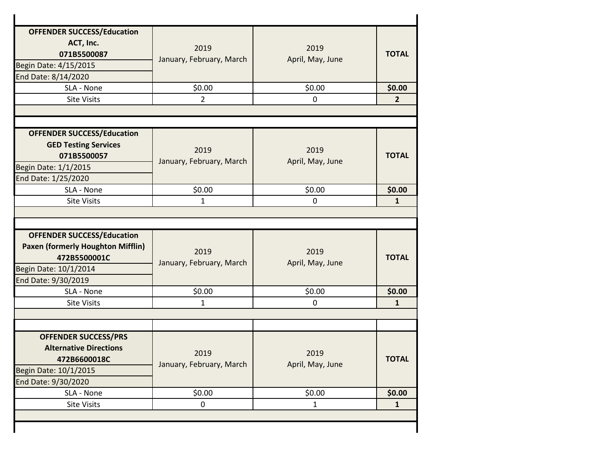| <b>OFFENDER SUCCESS/Education</b><br>ACT, Inc.<br>071B5500087<br>Begin Date: 4/15/2015<br>End Date: 8/14/2020                                 | 2019<br>January, February, March | 2019<br>April, May, June | <b>TOTAL</b>        |
|-----------------------------------------------------------------------------------------------------------------------------------------------|----------------------------------|--------------------------|---------------------|
| SLA - None                                                                                                                                    | \$0.00                           | \$0.00                   | \$0.00              |
| <b>Site Visits</b>                                                                                                                            | $\overline{2}$                   | 0                        | 2 <sup>2</sup>      |
|                                                                                                                                               |                                  |                          |                     |
| <b>OFFENDER SUCCESS/Education</b><br><b>GED Testing Services</b><br>071B5500057<br>Begin Date: 1/1/2015<br>End Date: 1/25/2020                | 2019<br>January, February, March | 2019<br>April, May, June | <b>TOTAL</b>        |
| SLA - None                                                                                                                                    | \$0.00                           | \$0.00                   | \$0.00              |
| <b>Site Visits</b>                                                                                                                            | $\mathbf{1}$                     | $\mathbf 0$              | $\mathbf{1}$        |
|                                                                                                                                               |                                  |                          |                     |
| <b>OFFENDER SUCCESS/Education</b><br><b>Paxen (formerly Houghton Mifflin)</b><br>472B5500001C<br>Begin Date: 10/1/2014<br>End Date: 9/30/2019 | 2019<br>January, February, March | 2019<br>April, May, June | <b>TOTAL</b>        |
| SLA - None                                                                                                                                    | \$0.00                           | \$0.00                   | \$0.00              |
| <b>Site Visits</b>                                                                                                                            | 1                                | $\mathbf 0$              | $\mathbf{1}$        |
|                                                                                                                                               |                                  |                          |                     |
|                                                                                                                                               |                                  |                          |                     |
| <b>OFFENDER SUCCESS/PRS</b><br><b>Alternative Directions</b><br>472B6600018C<br>Begin Date: 10/1/2015                                         | 2019<br>January, February, March | 2019<br>April, May, June | <b>TOTAL</b>        |
|                                                                                                                                               |                                  |                          |                     |
| End Date: 9/30/2020                                                                                                                           |                                  |                          |                     |
| SLA - None<br><b>Site Visits</b>                                                                                                              | \$0.00<br>$\pmb{0}$              | \$0.00<br>$\mathbf{1}$   | \$0.00<br>${\bf 1}$ |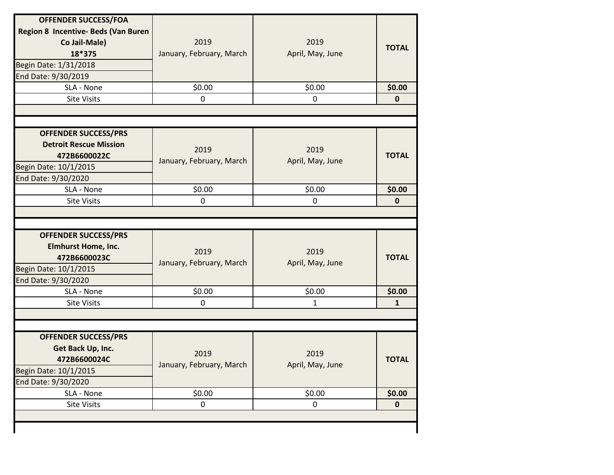| <b>OFFENDER SUCCESS/FOA</b><br>Region 8 Incentive- Beds (Van Buren<br>Co Jail-Male)<br>18*375<br>Begin Date: 1/31/2018<br>End Date: 9/30/2019 | 2019<br>January, February, March | 2019<br>April, May, June | <b>TOTAL</b>           |
|-----------------------------------------------------------------------------------------------------------------------------------------------|----------------------------------|--------------------------|------------------------|
| SLA - None                                                                                                                                    | \$0.00                           | \$0.00                   | \$0.00                 |
| <b>Site Visits</b>                                                                                                                            | 0                                | $\mathbf 0$              | $\bf{0}$               |
|                                                                                                                                               |                                  |                          |                        |
| <b>OFFENDER SUCCESS/PRS</b><br><b>Detroit Rescue Mission</b>                                                                                  | 2019                             | 2019                     |                        |
| 472B6600022C<br>Begin Date: 10/1/2015                                                                                                         | January, February, March         | April, May, June         | <b>TOTAL</b>           |
| End Date: 9/30/2020                                                                                                                           |                                  |                          |                        |
|                                                                                                                                               |                                  | \$0.00                   | \$0.00                 |
|                                                                                                                                               |                                  |                          |                        |
| SLA - None<br><b>Site Visits</b><br><b>OFFENDER SUCCESS/PRS</b>                                                                               | \$0.00<br>$\overline{0}$         | $\mathbf 0$              | $\mathbf{0}$           |
| <b>Elmhurst Home, Inc.</b><br>472B6600023C                                                                                                    | 2019<br>January, February, March | 2019<br>April, May, June | <b>TOTAL</b>           |
|                                                                                                                                               |                                  |                          |                        |
| SLA - None<br><b>Site Visits</b>                                                                                                              | \$0.00<br>$\mathbf 0$            | \$0.00<br>1              | \$0.00<br>$\mathbf{1}$ |
| Begin Date: 10/1/2015<br>End Date: 9/30/2020                                                                                                  |                                  |                          |                        |
| <b>OFFENDER SUCCESS/PRS</b><br>Get Back Up, Inc.<br>472B6600024C<br>Begin Date: 10/1/2015                                                     | 2019<br>January, February, March | 2019<br>April, May, June | <b>TOTAL</b>           |
| End Date: 9/30/2020<br>SLA - None                                                                                                             | \$0.00                           | \$0.00                   | \$0.00                 |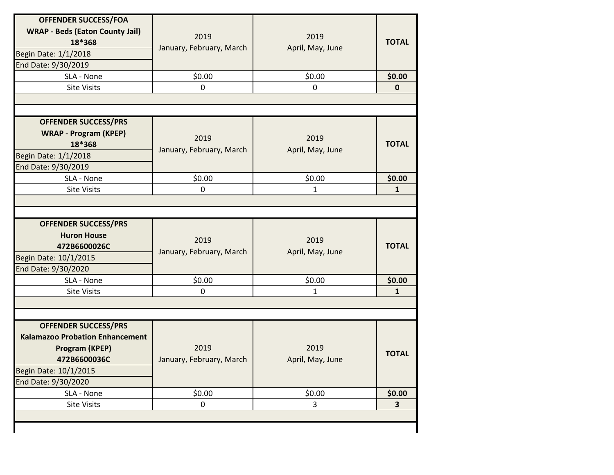| <b>OFFENDER SUCCESS/FOA</b><br><b>WRAP - Beds (Eaton County Jail)</b><br>18*368<br>Begin Date: 1/1/2018<br>End Date: 9/30/2019   | 2019<br>January, February, March | 2019<br>April, May, June | <b>TOTAL</b>            |
|----------------------------------------------------------------------------------------------------------------------------------|----------------------------------|--------------------------|-------------------------|
| SLA - None                                                                                                                       | \$0.00                           | \$0.00                   | \$0.00                  |
| <b>Site Visits</b>                                                                                                               | $\mathbf 0$                      | 0                        | $\pmb{0}$               |
|                                                                                                                                  |                                  |                          |                         |
|                                                                                                                                  |                                  |                          |                         |
| <b>OFFENDER SUCCESS/PRS</b><br><b>WRAP - Program (KPEP)</b><br>18*368<br>Begin Date: 1/1/2018<br>End Date: 9/30/2019             | 2019<br>January, February, March | 2019<br>April, May, June | <b>TOTAL</b>            |
| SLA - None                                                                                                                       | \$0.00                           | \$0.00                   | \$0.00                  |
| <b>Site Visits</b>                                                                                                               | $\mathbf 0$                      | 1                        | $\mathbf{1}$            |
|                                                                                                                                  |                                  |                          |                         |
|                                                                                                                                  |                                  |                          |                         |
| <b>OFFENDER SUCCESS/PRS</b><br><b>Huron House</b><br>472B6600026C<br>Begin Date: 10/1/2015<br>End Date: 9/30/2020                | 2019<br>January, February, March | 2019<br>April, May, June | <b>TOTAL</b>            |
| SLA - None                                                                                                                       | \$0.00                           | \$0.00                   | \$0.00                  |
| <b>Site Visits</b>                                                                                                               | $\mathbf 0$                      | 1                        | 1                       |
|                                                                                                                                  |                                  |                          |                         |
|                                                                                                                                  |                                  |                          |                         |
| <b>OFFENDER SUCCESS/PRS</b><br><b>Kalamazoo Probation Enhancement</b><br>Program (KPEP)<br>472B6600036C<br>Begin Date: 10/1/2015 | 2019<br>January, February, March | 2019<br>April, May, June | <b>TOTAL</b>            |
| End Date: 9/30/2020                                                                                                              |                                  |                          |                         |
| SLA - None                                                                                                                       | \$0.00                           | \$0.00                   | \$0.00                  |
| <b>Site Visits</b>                                                                                                               | $\mathsf{O}$                     | $\overline{3}$           | $\overline{\mathbf{3}}$ |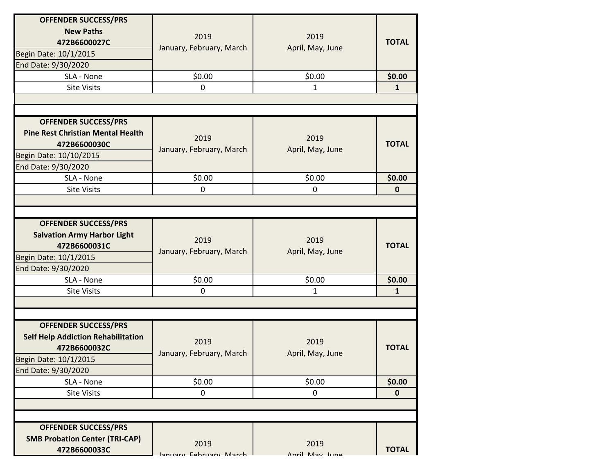| <b>OFFENDER SUCCESS/PRS</b><br><b>New Paths</b><br>472B6600027C<br>Begin Date: 10/1/2015<br>End Date: 9/30/2020<br>SLA - None<br><b>Site Visits</b>    | 2019<br>January, February, March<br>\$0.00<br>$\overline{0}$ | 2019<br>April, May, June<br>\$0.00<br>1 | <b>TOTAL</b><br>\$0.00<br>$\mathbf{1}$ |
|--------------------------------------------------------------------------------------------------------------------------------------------------------|--------------------------------------------------------------|-----------------------------------------|----------------------------------------|
| <b>OFFENDER SUCCESS/PRS</b><br><b>Pine Rest Christian Mental Health</b><br>472B6600030C<br>Begin Date: 10/10/2015<br>End Date: 9/30/2020               | 2019<br>January, February, March                             | 2019<br>April, May, June                | <b>TOTAL</b>                           |
| SLA - None                                                                                                                                             | \$0.00                                                       | \$0.00                                  | \$0.00                                 |
| <b>Site Visits</b>                                                                                                                                     | 0                                                            | $\mathbf 0$                             | $\mathbf 0$                            |
|                                                                                                                                                        |                                                              |                                         |                                        |
| <b>OFFENDER SUCCESS/PRS</b><br><b>Salvation Army Harbor Light</b><br>472B6600031C<br>Begin Date: 10/1/2015<br>End Date: 9/30/2020                      | 2019<br>January, February, March                             | 2019<br>April, May, June                | <b>TOTAL</b>                           |
| SLA - None                                                                                                                                             | \$0.00                                                       | \$0.00                                  | \$0.00                                 |
| <b>Site Visits</b>                                                                                                                                     | 0                                                            | 1                                       | $\mathbf{1}$                           |
|                                                                                                                                                        |                                                              |                                         |                                        |
| <b>OFFENDER SUCCESS/PRS</b><br><b>Self Help Addiction Rehabilitation</b><br>472B6600032C<br>Begin Date: 10/1/2015<br>End Date: 9/30/2020<br>SLA - None | 2019<br>January, February, March<br>\$0.00                   | 2019<br>April, May, June<br>\$0.00      | <b>TOTAL</b><br>\$0.00                 |
| <b>Site Visits</b>                                                                                                                                     | 0                                                            | 0                                       | $\mathbf 0$                            |
| <b>OFFENDER SUCCESS/PRS</b>                                                                                                                            |                                                              |                                         |                                        |
| <b>SMB Probation Center (TRI-CAP)</b><br>472B6600033C                                                                                                  | 2019<br>January Fohruary March                               | 2019<br>Anril May lung                  | <b>TOTAL</b>                           |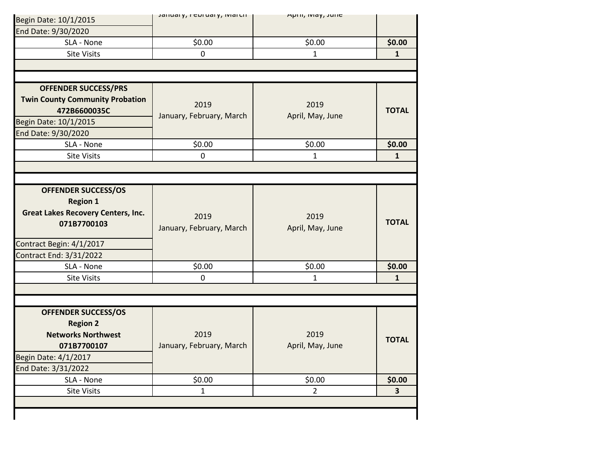| Begin Date: 10/1/2015                     | January, I Curuary, Ivial UIT | April, iviay, Julie    |                        |
|-------------------------------------------|-------------------------------|------------------------|------------------------|
| End Date: 9/30/2020                       |                               |                        |                        |
| SLA - None                                | \$0.00                        | \$0.00                 | \$0.00                 |
| <b>Site Visits</b>                        | 0                             | $\mathbf{1}$           | $\mathbf{1}$           |
|                                           |                               |                        |                        |
|                                           |                               |                        |                        |
| <b>OFFENDER SUCCESS/PRS</b>               |                               |                        |                        |
| <b>Twin County Community Probation</b>    | 2019                          | 2019                   |                        |
| 472B6600035C                              | January, February, March      | April, May, June       | <b>TOTAL</b>           |
| Begin Date: 10/1/2015                     |                               |                        |                        |
| End Date: 9/30/2020                       |                               |                        |                        |
| SLA - None                                | \$0.00                        | \$0.00                 | \$0.00                 |
| <b>Site Visits</b>                        | $\mathbf 0$                   | 1                      | $\mathbf{1}$           |
|                                           |                               |                        |                        |
|                                           |                               |                        |                        |
| <b>OFFENDER SUCCESS/OS</b>                |                               |                        |                        |
| <b>Region 1</b>                           |                               |                        |                        |
| <b>Great Lakes Recovery Centers, Inc.</b> | 2019                          | 2019                   |                        |
| 071B7700103                               | January, February, March      | April, May, June       | <b>TOTAL</b>           |
| Contract Begin: 4/1/2017                  |                               |                        |                        |
| Contract End: 3/31/2022                   |                               |                        |                        |
|                                           |                               |                        |                        |
| SLA - None                                | \$0.00                        |                        |                        |
| <b>Site Visits</b>                        | $\mathbf 0$                   | \$0.00<br>$\mathbf{1}$ | \$0.00<br>$\mathbf{1}$ |
|                                           |                               |                        |                        |
|                                           |                               |                        |                        |
| <b>OFFENDER SUCCESS/OS</b>                |                               |                        |                        |
| <b>Region 2</b>                           |                               |                        |                        |
| <b>Networks Northwest</b>                 | 2019                          | 2019                   |                        |
| 071B7700107                               | January, February, March      | April, May, June       | <b>TOTAL</b>           |
| Begin Date: 4/1/2017                      |                               |                        |                        |
| End Date: 3/31/2022                       |                               |                        |                        |
| SLA - None                                | \$0.00                        | \$0.00                 | \$0.00                 |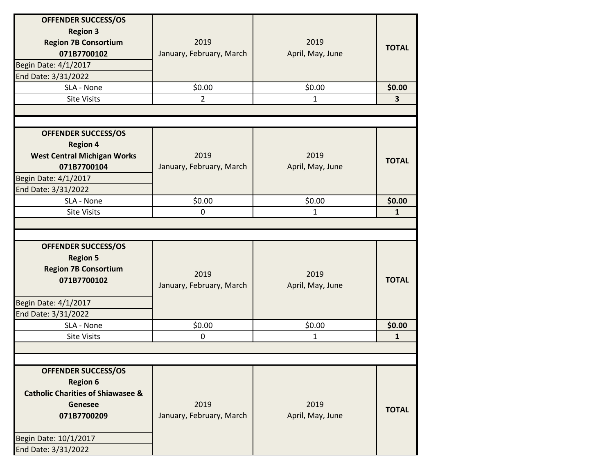| <b>OFFENDER SUCCESS/OS</b><br><b>Region 3</b><br><b>Region 7B Consortium</b><br>071B7700102<br>Begin Date: 4/1/2017<br>End Date: 3/31/2022                                     | 2019<br>January, February, March | 2019<br>April, May, June | <b>TOTAL</b> |
|--------------------------------------------------------------------------------------------------------------------------------------------------------------------------------|----------------------------------|--------------------------|--------------|
| SLA - None                                                                                                                                                                     | \$0.00                           | \$0.00                   | \$0.00       |
| <b>Site Visits</b>                                                                                                                                                             | $\overline{2}$                   | $\mathbf{1}$             | $\mathbf{3}$ |
|                                                                                                                                                                                |                                  |                          |              |
|                                                                                                                                                                                |                                  |                          |              |
| <b>OFFENDER SUCCESS/OS</b><br><b>Region 4</b><br><b>West Central Michigan Works</b><br>071B7700104<br>Begin Date: 4/1/2017<br>End Date: 3/31/2022                              | 2019<br>January, February, March | 2019<br>April, May, June | <b>TOTAL</b> |
| SLA - None                                                                                                                                                                     | \$0.00                           | \$0.00                   | \$0.00       |
| <b>Site Visits</b>                                                                                                                                                             | 0                                | 1                        | $\mathbf{1}$ |
| <b>OFFENDER SUCCESS/OS</b><br><b>Region 5</b><br><b>Region 7B Consortium</b><br>071B7700102                                                                                    | 2019<br>January, February, March | 2019<br>April, May, June | <b>TOTAL</b> |
|                                                                                                                                                                                |                                  |                          |              |
| Begin Date: 4/1/2017                                                                                                                                                           |                                  |                          |              |
| End Date: 3/31/2022<br>SLA - None                                                                                                                                              | \$0.00                           | \$0.00                   | \$0.00       |
| <b>Site Visits</b>                                                                                                                                                             | 0                                | 1                        | $\mathbf{1}$ |
|                                                                                                                                                                                |                                  |                          |              |
|                                                                                                                                                                                |                                  |                          |              |
| <b>OFFENDER SUCCESS/OS</b><br><b>Region 6</b><br><b>Catholic Charities of Shiawasee &amp;</b><br><b>Genesee</b><br>071B7700209<br>Begin Date: 10/1/2017<br>End Date: 3/31/2022 | 2019<br>January, February, March | 2019<br>April, May, June | <b>TOTAL</b> |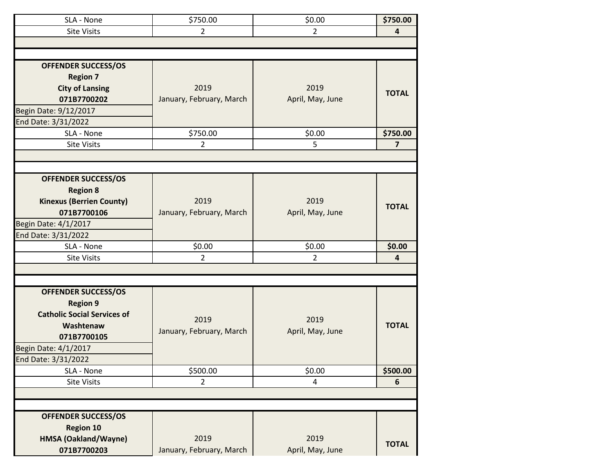| SLA - None                         | \$750.00                 | \$0.00           | \$750.00                |
|------------------------------------|--------------------------|------------------|-------------------------|
| <b>Site Visits</b>                 | $\overline{2}$           | $\overline{2}$   | 4                       |
|                                    |                          |                  |                         |
|                                    |                          |                  |                         |
| <b>OFFENDER SUCCESS/OS</b>         |                          |                  |                         |
| <b>Region 7</b>                    |                          |                  |                         |
| <b>City of Lansing</b>             | 2019                     | 2019             | <b>TOTAL</b>            |
| 071B7700202                        | January, February, March | April, May, June |                         |
| Begin Date: 9/12/2017              |                          |                  |                         |
| End Date: 3/31/2022                |                          |                  |                         |
| SLA - None                         | \$750.00                 | \$0.00           | \$750.00                |
| <b>Site Visits</b>                 | $\overline{2}$           | 5                | $\overline{7}$          |
|                                    |                          |                  |                         |
|                                    |                          |                  |                         |
| <b>OFFENDER SUCCESS/OS</b>         |                          |                  |                         |
| <b>Region 8</b>                    |                          |                  |                         |
| <b>Kinexus (Berrien County)</b>    | 2019                     | 2019             | <b>TOTAL</b>            |
| 071B7700106                        | January, February, March | April, May, June |                         |
| Begin Date: 4/1/2017               |                          |                  |                         |
| End Date: 3/31/2022                |                          |                  |                         |
| SLA - None                         | \$0.00                   | \$0.00           | \$0.00                  |
| <b>Site Visits</b>                 | $\overline{2}$           | 2                | $\overline{\mathbf{4}}$ |
|                                    |                          |                  |                         |
|                                    |                          |                  |                         |
| <b>OFFENDER SUCCESS/OS</b>         |                          |                  |                         |
| <b>Region 9</b>                    |                          |                  |                         |
| <b>Catholic Social Services of</b> | 2019                     | 2019             |                         |
| Washtenaw                          | January, February, March | April, May, June | <b>TOTAL</b>            |
| 071B7700105                        |                          |                  |                         |
| Begin Date: 4/1/2017               |                          |                  |                         |
| End Date: 3/31/2022                |                          |                  |                         |
| SLA - None                         | \$500.00                 | \$0.00           | \$500.00                |
| <b>Site Visits</b>                 | $\overline{2}$           | 4                | 6                       |
|                                    |                          |                  |                         |
|                                    |                          |                  |                         |
| <b>OFFENDER SUCCESS/OS</b>         |                          |                  |                         |
| <b>Region 10</b>                   |                          |                  |                         |
| HMSA (Oakland/Wayne)               | 2019                     | 2019             | <b>TOTAL</b>            |
| 071B7700203                        | January, February, March | April, May, June |                         |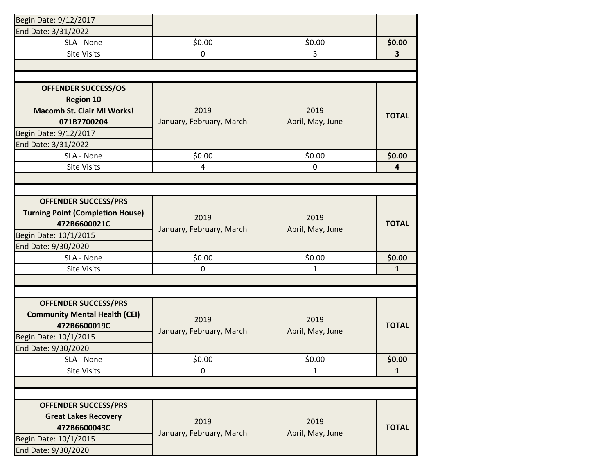| Begin Date: 9/12/2017                   |                          |                  |                         |
|-----------------------------------------|--------------------------|------------------|-------------------------|
| End Date: 3/31/2022                     |                          |                  |                         |
| SLA - None                              | \$0.00                   | \$0.00           | \$0.00                  |
| <b>Site Visits</b>                      | 0                        | 3                | $\overline{\mathbf{3}}$ |
|                                         |                          |                  |                         |
|                                         |                          |                  |                         |
| <b>OFFENDER SUCCESS/OS</b>              |                          |                  |                         |
| <b>Region 10</b>                        |                          |                  |                         |
| <b>Macomb St. Clair MI Works!</b>       | 2019                     | 2019             | <b>TOTAL</b>            |
| 071B7700204                             | January, February, March | April, May, June |                         |
| Begin Date: 9/12/2017                   |                          |                  |                         |
| End Date: 3/31/2022                     |                          |                  |                         |
| SLA - None                              | \$0.00                   | \$0.00           | \$0.00                  |
| <b>Site Visits</b>                      | 4                        | $\mathbf 0$      | 4                       |
|                                         |                          |                  |                         |
|                                         |                          |                  |                         |
| <b>OFFENDER SUCCESS/PRS</b>             |                          |                  |                         |
| <b>Turning Point (Completion House)</b> | 2019                     | 2019             |                         |
| 472B6600021C                            | January, February, March | April, May, June | <b>TOTAL</b>            |
| Begin Date: 10/1/2015                   |                          |                  |                         |
| End Date: 9/30/2020                     |                          |                  |                         |
| SLA - None                              | \$0.00                   | \$0.00           | \$0.00                  |
| <b>Site Visits</b>                      | 0                        | $\mathbf{1}$     | $\mathbf{1}$            |
|                                         |                          |                  |                         |
|                                         |                          |                  |                         |
| <b>OFFENDER SUCCESS/PRS</b>             |                          |                  |                         |
| <b>Community Mental Health (CEI)</b>    | 2019                     | 2019             |                         |
| 472B6600019C                            | January, February, March | April, May, June | <b>TOTAL</b>            |
| Begin Date: 10/1/2015                   |                          |                  |                         |
| End Date: 9/30/2020                     |                          |                  |                         |
| SLA - None                              | \$0.00                   | \$0.00           | \$0.00                  |
| <b>Site Visits</b>                      | 0                        | $\mathbf{1}$     | $\mathbf{1}$            |
|                                         |                          |                  |                         |
|                                         |                          |                  |                         |
| <b>OFFENDER SUCCESS/PRS</b>             |                          |                  |                         |
| <b>Great Lakes Recovery</b>             | 2019                     | 2019             |                         |
| 472B6600043C                            | January, February, March | April, May, June | <b>TOTAL</b>            |
| Begin Date: 10/1/2015                   |                          |                  |                         |
| End Date: 9/30/2020                     |                          |                  |                         |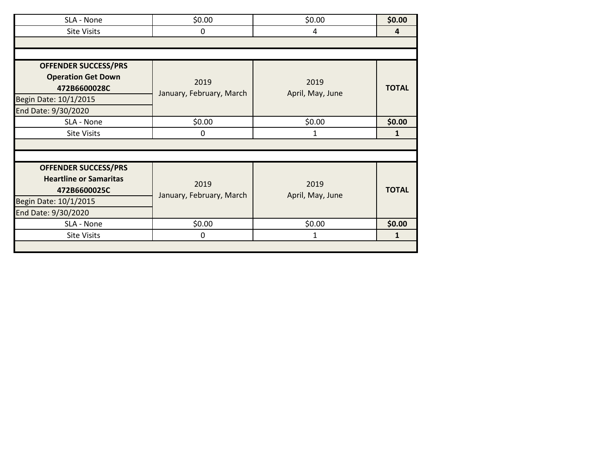| SLA - None                    | \$0.00                   | \$0.00           | \$0.00       |
|-------------------------------|--------------------------|------------------|--------------|
| <b>Site Visits</b>            | 0                        | 4                | 4            |
|                               |                          |                  |              |
|                               |                          |                  |              |
| <b>OFFENDER SUCCESS/PRS</b>   |                          |                  |              |
| <b>Operation Get Down</b>     | 2019                     | 2019             |              |
| 472B6600028C                  |                          |                  | <b>TOTAL</b> |
| Begin Date: 10/1/2015         | January, February, March | April, May, June |              |
| End Date: 9/30/2020           |                          |                  |              |
| SLA - None                    | \$0.00                   | \$0.00           | \$0.00       |
| <b>Site Visits</b>            | 0                        | 1                | 1            |
|                               |                          |                  |              |
|                               |                          |                  |              |
| <b>OFFENDER SUCCESS/PRS</b>   |                          |                  |              |
| <b>Heartline or Samaritas</b> |                          |                  |              |
| 472B6600025C                  | 2019                     | 2019             | <b>TOTAL</b> |
| Begin Date: 10/1/2015         | January, February, March | April, May, June |              |
| End Date: 9/30/2020           |                          |                  |              |
| SLA - None                    | \$0.00                   | \$0.00           | \$0.00       |
| <b>Site Visits</b>            | 0                        | 1                | $\mathbf{1}$ |
|                               |                          |                  |              |
|                               |                          |                  |              |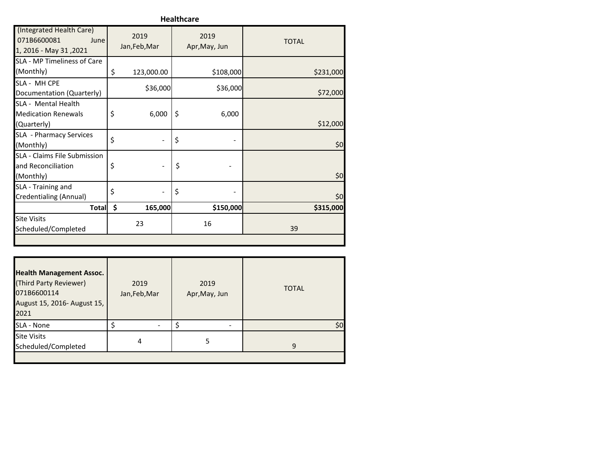**Healthcare**

| (Integrated Health Care)<br>071B6600081<br>June<br>1, 2016 - May 31, 2021 | 2019<br>Jan, Feb, Mar | 2019<br>Apr, May, Jun | <b>TOTAL</b> |
|---------------------------------------------------------------------------|-----------------------|-----------------------|--------------|
| SLA - MP Timeliness of Care<br>(Monthly)                                  | \$<br>123,000.00      | \$108,000             | \$231,000    |
| SLA - MH CPE<br>Documentation (Quarterly)                                 | \$36,000              | \$36,000              | \$72,000     |
| SLA - Mental Health<br><b>Medication Renewals</b><br>(Quarterly)          | \$<br>6,000           | \$<br>6,000           | \$12,000     |
| SLA - Pharmacy Services<br>(Monthly)                                      | \$                    | \$                    | \$0          |
| <b>SLA - Claims File Submission</b><br>and Reconciliation<br>(Monthly)    | \$                    | \$                    | \$0          |
| SLA - Training and<br>Credentialing (Annual)                              | \$                    | \$                    | \$0          |
| <b>Total</b>                                                              | \$<br>165,000         | \$150,000             | \$315,000    |
| <b>Site Visits</b><br>Scheduled/Completed                                 | 23                    | 16                    | 39           |
|                                                                           |                       |                       |              |

| <b>Health Management Assoc.</b><br>(Third Party Reviewer)<br>071B6600114<br>August 15, 2016- August 15,<br>2021 | 2019<br>Jan, Feb, Mar | 2019<br>Apr, May, Jun | <b>TOTAL</b> |
|-----------------------------------------------------------------------------------------------------------------|-----------------------|-----------------------|--------------|
| SLA - None                                                                                                      |                       |                       | \$0          |
| <b>Site Visits</b><br>Scheduled/Completed                                                                       | 4                     | 5                     | q            |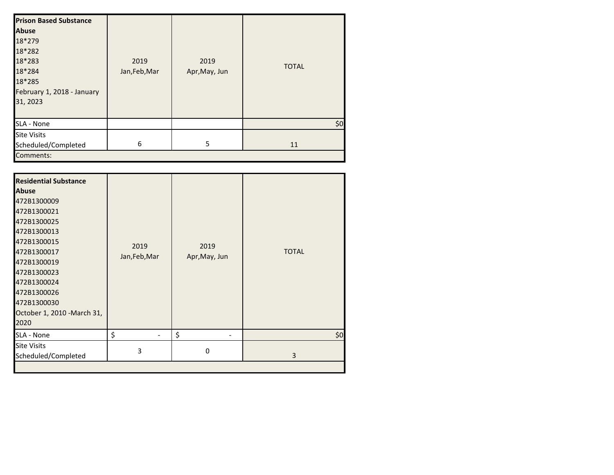| <b>Prison Based Substance</b><br><b>Abuse</b><br>18*279<br>18*282<br>18*283<br>18*284<br>18*285<br>February 1, 2018 - January<br>31, 2023 | 2019<br>Jan, Feb, Mar | 2019<br>Apr, May, Jun | <b>TOTAL</b> |
|-------------------------------------------------------------------------------------------------------------------------------------------|-----------------------|-----------------------|--------------|
| SLA - None                                                                                                                                |                       |                       | \$0          |
| <b>Site Visits</b><br>Scheduled/Completed<br>Comments:                                                                                    | 6                     | 5                     | 11           |

| <b>Residential Substance</b><br><b>Abuse</b><br>472B1300009<br>472B1300021<br>472B1300025<br>472B1300013<br>472B1300015<br>472B1300017<br>472B1300019<br>472B1300023<br>472B1300024<br>472B1300026<br>472B1300030<br>October 1, 2010 - March 31,<br>2020 | 2019<br>Jan, Feb, Mar | 2019<br>Apr, May, Jun | <b>TOTAL</b> |
|----------------------------------------------------------------------------------------------------------------------------------------------------------------------------------------------------------------------------------------------------------|-----------------------|-----------------------|--------------|
| SLA - None                                                                                                                                                                                                                                               | \$                    | \$                    | \$0          |
| <b>Site Visits</b><br>Scheduled/Completed                                                                                                                                                                                                                | 3                     | 0                     | 3            |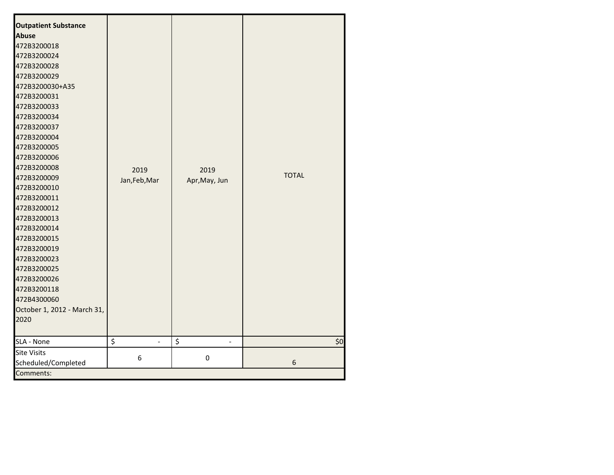| <b>Outpatient Substance</b><br><b>Abuse</b><br>472B3200018<br>472B3200024<br>472B3200028<br>472B3200029<br>472B3200030+A35<br>472B3200031<br>472B3200033<br>472B3200034<br>472B3200037<br>472B3200004<br>472B3200005<br>472B3200006<br>472B3200008<br>472B3200009<br>472B3200010<br>472B3200011<br>472B3200012<br>472B3200013<br>472B3200014<br>472B3200015<br>472B3200019<br>472B3200023<br>472B3200025<br>472B3200026<br>472B3200118<br>472B4300060<br>October 1, 2012 - March 31,<br>2020 | 2019<br>Jan, Feb, Mar | 2019<br>Apr, May, Jun | <b>TOTAL</b> |
|----------------------------------------------------------------------------------------------------------------------------------------------------------------------------------------------------------------------------------------------------------------------------------------------------------------------------------------------------------------------------------------------------------------------------------------------------------------------------------------------|-----------------------|-----------------------|--------------|
| SLA - None                                                                                                                                                                                                                                                                                                                                                                                                                                                                                   | \$                    | \$                    | \$0          |
| <b>Site Visits</b><br>Scheduled/Completed<br>Comments:                                                                                                                                                                                                                                                                                                                                                                                                                                       | 6                     | 0                     | 6            |